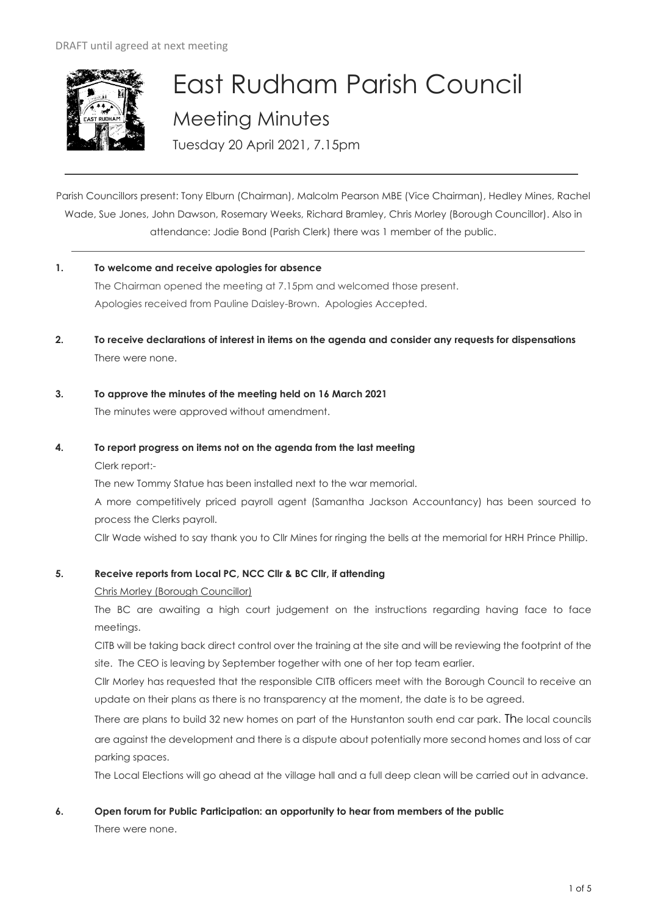

# East Rudham Parish Council Meeting Minutes

Tuesday 20 April 2021, 7.15pm

Parish Councillors present: Tony Elburn (Chairman), Malcolm Pearson MBE (Vice Chairman), Hedley Mines, Rachel Wade, Sue Jones, John Dawson, Rosemary Weeks, Richard Bramley, Chris Morley (Borough Councillor). Also in attendance: Jodie Bond (Parish Clerk) there was 1 member of the public.

- **1. To welcome and receive apologies for absence** The Chairman opened the meeting at 7.15pm and welcomed those present. Apologies received from Pauline Daisley-Brown. Apologies Accepted.
- **2. To receive declarations of interest in items on the agenda and consider any requests for dispensations**  There were none.
- **3. To approve the minutes of the meeting held on 16 March 2021** The minutes were approved without amendment.
- **4. To report progress on items not on the agenda from the last meeting**  Clerk report:-

The new Tommy Statue has been installed next to the war memorial. A more competitively priced payroll agent (Samantha Jackson Accountancy) has been sourced to process the Clerks payroll. Cllr Wade wished to say thank you to Cllr Mines for ringing the bells at the memorial for HRH Prince Phillip.

# **5. Receive reports from Local PC, NCC Cllr & BC Cllr, if attending**

# Chris Morley (Borough Councillor)

The BC are awaiting a high court judgement on the instructions regarding having face to face meetings.

CITB will be taking back direct control over the training at the site and will be reviewing the footprint of the site. The CEO is leaving by September together with one of her top team earlier.

Cllr Morley has requested that the responsible CITB officers meet with the Borough Council to receive an update on their plans as there is no transparency at the moment, the date is to be agreed.

There are plans to build 32 new homes on part of the Hunstanton south end car park. The local councils are against the development and there is a dispute about potentially more second homes and loss of car parking spaces.

The Local Elections will go ahead at the village hall and a full deep clean will be carried out in advance.

**6. Open forum for Public Participation: an opportunity to hear from members of the public**

There were none.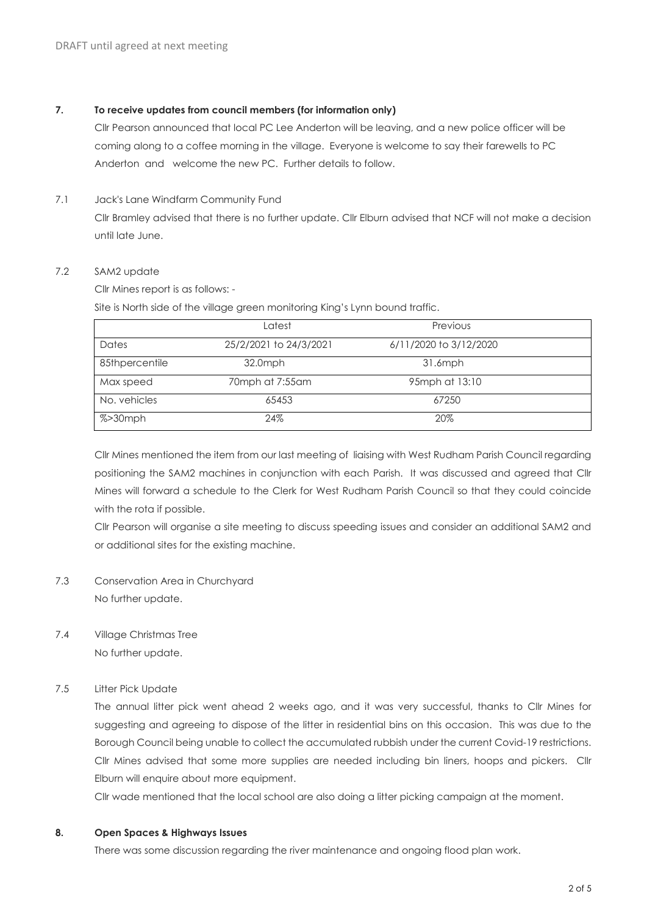## **7. To receive updates from council members (for information only)**

Cllr Pearson announced that local PC Lee Anderton will be leaving, and a new police officer will be coming along to a coffee morning in the village. Everyone is welcome to say their farewells to PC Anderton and welcome the new PC. Further details to follow.

7.1 Jack's Lane Windfarm Community Fund

Cllr Bramley advised that there is no further update. Cllr Elburn advised that NCF will not make a decision until late June.

#### 7.2 SAM2 update

Cllr Mines report is as follows: -

Site is North side of the village green monitoring King's Lynn bound traffic.

|                | Latest                 | Previous               |  |
|----------------|------------------------|------------------------|--|
| Dates          | 25/2/2021 to 24/3/2021 | 6/11/2020 to 3/12/2020 |  |
| 85thpercentile | 32.0mph                | $31.6$ mph             |  |
| Max speed      | 70mph at 7:55am        | 95mph at 13:10         |  |
| No. vehicles   | 65453                  | 67250                  |  |
| $% > 30$ mph   | 24%                    | 20%                    |  |

Cllr Mines mentioned the item from our last meeting of liaising with West Rudham Parish Council regarding positioning the SAM2 machines in conjunction with each Parish. It was discussed and agreed that Cllr Mines will forward a schedule to the Clerk for West Rudham Parish Council so that they could coincide with the rota if possible.

Cllr Pearson will organise a site meeting to discuss speeding issues and consider an additional SAM2 and or additional sites for the existing machine.

- 7.3 Conservation Area in Churchyard No further update.
- 7.4 Village Christmas Tree No further update.

7.5 Litter Pick Update

The annual litter pick went ahead 2 weeks ago, and it was very successful, thanks to Cllr Mines for suggesting and agreeing to dispose of the litter in residential bins on this occasion. This was due to the Borough Council being unable to collect the accumulated rubbish under the current Covid-19 restrictions. Cllr Mines advised that some more supplies are needed including bin liners, hoops and pickers. Cllr Elburn will enquire about more equipment.

Cllr wade mentioned that the local school are also doing a litter picking campaign at the moment.

#### **8. Open Spaces & Highways Issues**

There was some discussion regarding the river maintenance and ongoing flood plan work.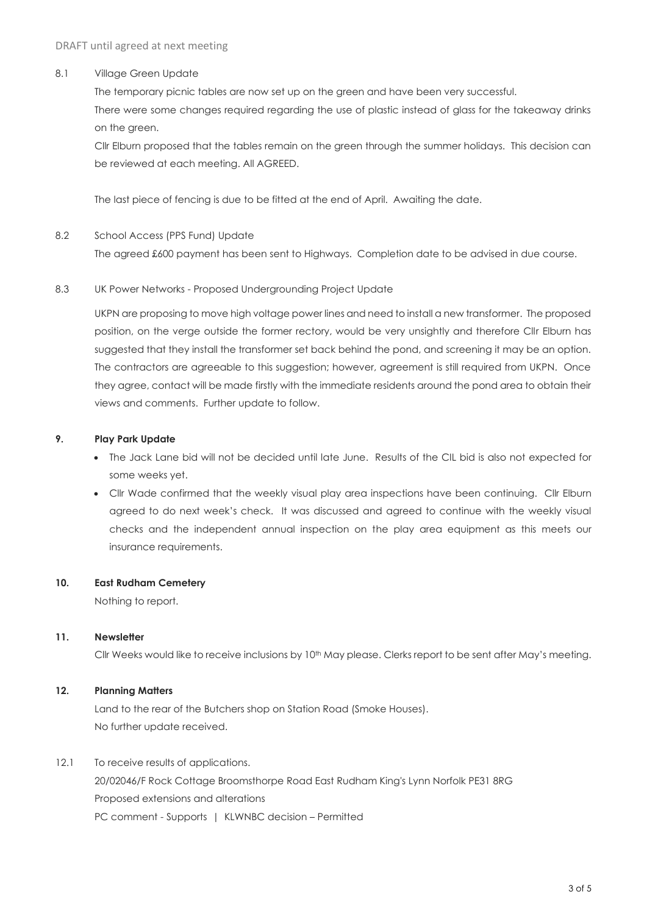## 8.1 Village Green Update

The temporary picnic tables are now set up on the green and have been very successful. There were some changes required regarding the use of plastic instead of glass for the takeaway drinks on the green.

Cllr Elburn proposed that the tables remain on the green through the summer holidays. This decision can be reviewed at each meeting. All AGREED.

The last piece of fencing is due to be fitted at the end of April. Awaiting the date.

## 8.2 School Access (PPS Fund) Update

The agreed £600 payment has been sent to Highways. Completion date to be advised in due course.

#### 8.3 UK Power Networks - Proposed Undergrounding Project Update

UKPN are proposing to move high voltage power lines and need to install a new transformer. The proposed position, on the verge outside the former rectory, would be very unsightly and therefore Cllr Elburn has suggested that they install the transformer set back behind the pond, and screening it may be an option. The contractors are agreeable to this suggestion; however, agreement is still required from UKPN. Once they agree, contact will be made firstly with the immediate residents around the pond area to obtain their views and comments. Further update to follow.

## **9. Play Park Update**

- The Jack Lane bid will not be decided until late June. Results of the CIL bid is also not expected for some weeks yet.
- Cllr Wade confirmed that the weekly visual play area inspections have been continuing. Cllr Elburn agreed to do next week's check. It was discussed and agreed to continue with the weekly visual checks and the independent annual inspection on the play area equipment as this meets our insurance requirements.

#### **10. East Rudham Cemetery**

Nothing to report.

#### **11. Newsletter**

Cllr Weeks would like to receive inclusions by 10<sup>th</sup> May please. Clerks report to be sent after May's meeting.

#### **12. Planning Matters**

Land to the rear of the Butchers shop on Station Road (Smoke Houses). No further update received.

12.1 To receive results of applications.

20/02046/F Rock Cottage Broomsthorpe Road East Rudham King's Lynn Norfolk PE31 8RG Proposed extensions and alterations PC comment - Supports | KLWNBC decision – Permitted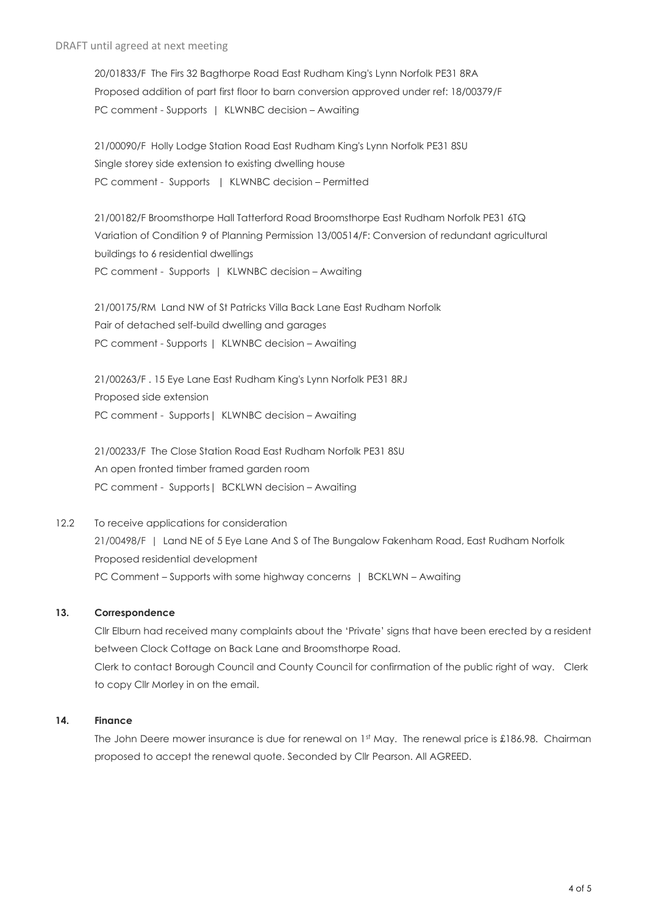20/01833/F The Firs 32 Bagthorpe Road East Rudham King's Lynn Norfolk PE31 8RA Proposed addition of part first floor to barn conversion approved under ref: 18/00379/F PC comment - Supports | KLWNBC decision – Awaiting

21/00090/F Holly Lodge Station Road East Rudham King's Lynn Norfolk PE31 8SU Single storey side extension to existing dwelling house PC comment - Supports | KLWNBC decision – Permitted

21/00182/F Broomsthorpe Hall Tatterford Road Broomsthorpe East Rudham Norfolk PE31 6TQ Variation of Condition 9 of Planning Permission 13/00514/F: Conversion of redundant agricultural buildings to 6 residential dwellings PC comment - Supports | KLWNBC decision – Awaiting

21/00175/RM Land NW of St Patricks Villa Back Lane East Rudham Norfolk Pair of detached self-build dwelling and garages PC comment - Supports | KLWNBC decision – Awaiting

21/00263/F . 15 Eye Lane East Rudham King's Lynn Norfolk PE31 8RJ Proposed side extension PC comment - Supports | KLWNBC decision - Awaiting

21/00233/F The Close Station Road East Rudham Norfolk PE31 8SU An open fronted timber framed garden room PC comment - Supports | BCKLWN decision - Awaiting

12.2 To receive applications for consideration 21/00498/F | Land NE of 5 Eye Lane And S of The Bungalow Fakenham Road, East Rudham Norfolk Proposed residential development PC Comment – Supports with some highway concerns | BCKLWN – Awaiting

## **13. Correspondence**

Cllr Elburn had received many complaints about the 'Private' signs that have been erected by a resident between Clock Cottage on Back Lane and Broomsthorpe Road. Clerk to contact Borough Council and County Council for confirmation of the public right of way. Clerk to copy Cllr Morley in on the email.

# **14. Finance**

The John Deere mower insurance is due for renewal on 1st May. The renewal price is £186.98. Chairman proposed to accept the renewal quote. Seconded by Cllr Pearson. All AGREED.